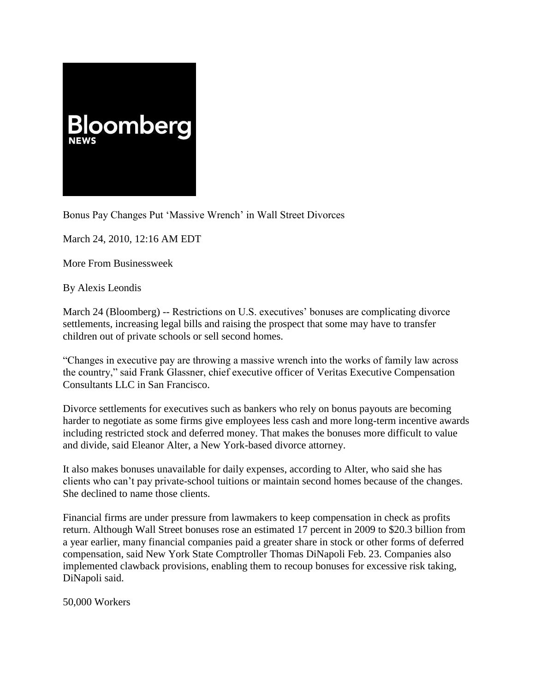

Bonus Pay Changes Put "Massive Wrench" in Wall Street Divorces

March 24, 2010, 12:16 AM EDT

More From Businessweek

By Alexis Leondis

March 24 (Bloomberg) -- Restrictions on U.S. executives' bonuses are complicating divorce settlements, increasing legal bills and raising the prospect that some may have to transfer children out of private schools or sell second homes.

"Changes in executive pay are throwing a massive wrench into the works of family law across the country," said Frank Glassner, chief executive officer of Veritas Executive Compensation Consultants LLC in San Francisco.

Divorce settlements for executives such as bankers who rely on bonus payouts are becoming harder to negotiate as some firms give employees less cash and more long-term incentive awards including restricted stock and deferred money. That makes the bonuses more difficult to value and divide, said Eleanor Alter, a New York-based divorce attorney.

It also makes bonuses unavailable for daily expenses, according to Alter, who said she has clients who can"t pay private-school tuitions or maintain second homes because of the changes. She declined to name those clients.

Financial firms are under pressure from lawmakers to keep compensation in check as profits return. Although Wall Street bonuses rose an estimated 17 percent in 2009 to \$20.3 billion from a year earlier, many financial companies paid a greater share in stock or other forms of deferred compensation, said New York State Comptroller Thomas DiNapoli Feb. 23. Companies also implemented clawback provisions, enabling them to recoup bonuses for excessive risk taking, DiNapoli said.

50,000 Workers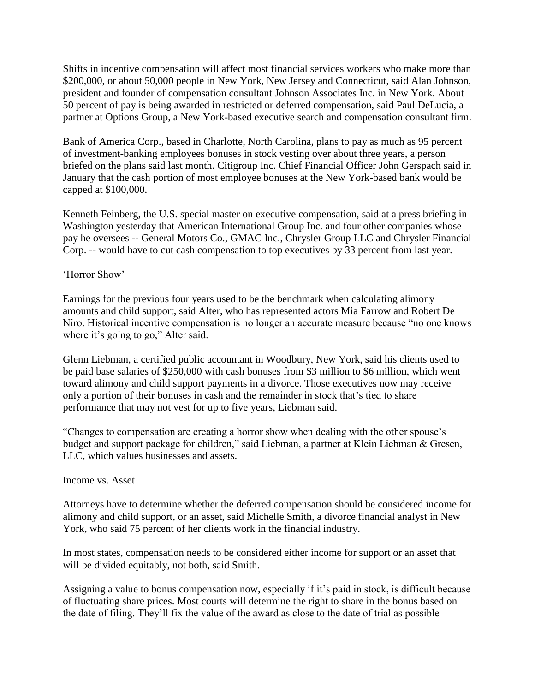Shifts in incentive compensation will affect most financial services workers who make more than \$200,000, or about 50,000 people in New York, New Jersey and Connecticut, said Alan Johnson, president and founder of compensation consultant Johnson Associates Inc. in New York. About 50 percent of pay is being awarded in restricted or deferred compensation, said Paul DeLucia, a partner at Options Group, a New York-based executive search and compensation consultant firm.

Bank of America Corp., based in Charlotte, North Carolina, plans to pay as much as 95 percent of investment-banking employees bonuses in stock vesting over about three years, a person briefed on the plans said last month. Citigroup Inc. Chief Financial Officer John Gerspach said in January that the cash portion of most employee bonuses at the New York-based bank would be capped at \$100,000.

Kenneth Feinberg, the U.S. special master on executive compensation, said at a press briefing in Washington yesterday that American International Group Inc. and four other companies whose pay he oversees -- General Motors Co., GMAC Inc., Chrysler Group LLC and Chrysler Financial Corp. -- would have to cut cash compensation to top executives by 33 percent from last year.

# "Horror Show"

Earnings for the previous four years used to be the benchmark when calculating alimony amounts and child support, said Alter, who has represented actors Mia Farrow and Robert De Niro. Historical incentive compensation is no longer an accurate measure because "no one knows where it's going to go," Alter said.

Glenn Liebman, a certified public accountant in Woodbury, New York, said his clients used to be paid base salaries of \$250,000 with cash bonuses from \$3 million to \$6 million, which went toward alimony and child support payments in a divorce. Those executives now may receive only a portion of their bonuses in cash and the remainder in stock that"s tied to share performance that may not vest for up to five years, Liebman said.

"Changes to compensation are creating a horror show when dealing with the other spouse"s budget and support package for children," said Liebman, a partner at Klein Liebman & Gresen, LLC, which values businesses and assets.

## Income vs. Asset

Attorneys have to determine whether the deferred compensation should be considered income for alimony and child support, or an asset, said Michelle Smith, a divorce financial analyst in New York, who said 75 percent of her clients work in the financial industry.

In most states, compensation needs to be considered either income for support or an asset that will be divided equitably, not both, said Smith.

Assigning a value to bonus compensation now, especially if it's paid in stock, is difficult because of fluctuating share prices. Most courts will determine the right to share in the bonus based on the date of filing. They"ll fix the value of the award as close to the date of trial as possible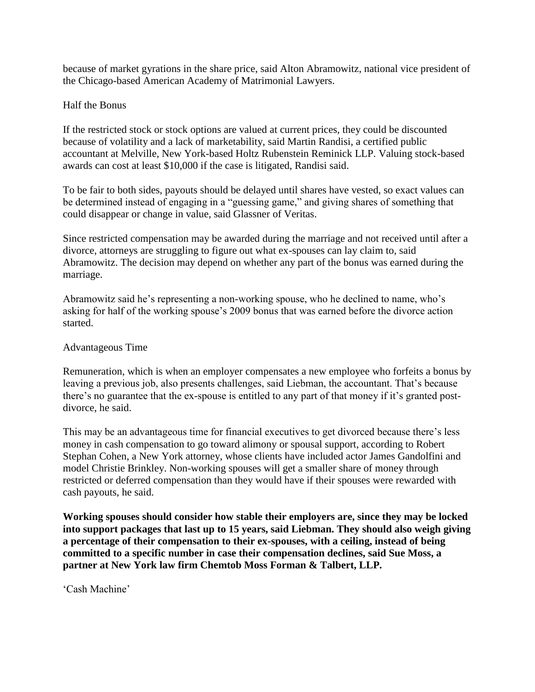because of market gyrations in the share price, said Alton Abramowitz, national vice president of the Chicago-based American Academy of Matrimonial Lawyers.

# Half the Bonus

If the restricted stock or stock options are valued at current prices, they could be discounted because of volatility and a lack of marketability, said Martin Randisi, a certified public accountant at Melville, New York-based Holtz Rubenstein Reminick LLP. Valuing stock-based awards can cost at least \$10,000 if the case is litigated, Randisi said.

To be fair to both sides, payouts should be delayed until shares have vested, so exact values can be determined instead of engaging in a "guessing game," and giving shares of something that could disappear or change in value, said Glassner of Veritas.

Since restricted compensation may be awarded during the marriage and not received until after a divorce, attorneys are struggling to figure out what ex-spouses can lay claim to, said Abramowitz. The decision may depend on whether any part of the bonus was earned during the marriage.

Abramowitz said he"s representing a non-working spouse, who he declined to name, who"s asking for half of the working spouse"s 2009 bonus that was earned before the divorce action started.

## Advantageous Time

Remuneration, which is when an employer compensates a new employee who forfeits a bonus by leaving a previous job, also presents challenges, said Liebman, the accountant. That"s because there's no guarantee that the ex-spouse is entitled to any part of that money if it's granted postdivorce, he said.

This may be an advantageous time for financial executives to get divorced because there's less money in cash compensation to go toward alimony or spousal support, according to Robert Stephan Cohen, a New York attorney, whose clients have included actor James Gandolfini and model Christie Brinkley. Non-working spouses will get a smaller share of money through restricted or deferred compensation than they would have if their spouses were rewarded with cash payouts, he said.

**Working spouses should consider how stable their employers are, since they may be locked into support packages that last up to 15 years, said Liebman. They should also weigh giving a percentage of their compensation to their ex-spouses, with a ceiling, instead of being committed to a specific number in case their compensation declines, said Sue Moss, a partner at New York law firm Chemtob Moss Forman & Talbert, LLP.**

"Cash Machine"